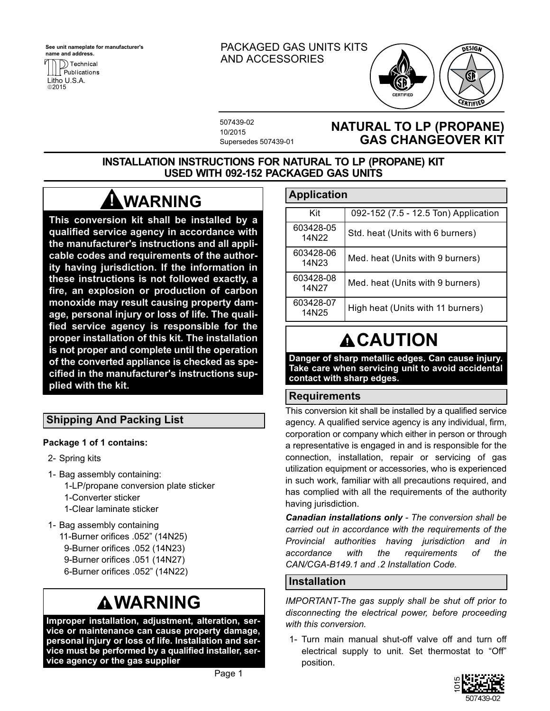**See unit nameplate for manufacturer's name and address.**



### PACKAGED GAS UNITS KITS AND ACCESSORIES



507439-02 10/2015 Supersedes 507439-01

## **NATURAL TO LP (PROPANE) GAS CHANGEOVER KIT**

### **INSTALLATION INSTRUCTIONS FOR NATURAL TO LP (PROPANE) KIT USED WITH 092-152 PACKAGED GAS UNITS**

# **WARNING !**

**This conversion kit shall be installed by a qualified service agency in accordance with the manufacturer's instructions and all applicable codes and requirements of the authority having jurisdiction. If the information in these instructions is not followed exactly, a fire, an explosion or production of carbon monoxide may result causing property damage, personal injury or loss of life. The qualified service agency is responsible for the proper installation of this kit. The installation is not proper and complete until the operation of the converted appliance is checked as specified in the manufacturer's instructions supplied with the kit.**

## **Shipping And Packing List**

### **Package 1 of 1 contains:**

- 2- Spring kits
- 1- Bag assembly containing: 1-LP/propane conversion plate sticker 1-Converter sticker 1-Clear laminate sticker
- 1- Bag assembly containing 11-Burner orifices .052" (14N25) 9-Burner orifices .052 (14N23) 9-Burner orifices .051 (14N27) 6-Burner orifices .052" (14N22)

# **WARNING**

**Improper installation, adjustment, alteration, service or maintenance can cause property damage, personal injury or loss of life. Installation and service must be performed by a qualified installer, service agency or the gas supplier**

## **Application**

| Kit                | 092-152 (7.5 - 12.5 Ton) Application |
|--------------------|--------------------------------------|
| 603428-05<br>14N22 | Std. heat (Units with 6 burners)     |
| 603428-06<br>14N23 | Med. heat (Units with 9 burners)     |
| 603428-08<br>14N27 | Med. heat (Units with 9 burners)     |
| 603428-07<br>14N25 | High heat (Units with 11 burners)    |

# **ACAUTION**

**Danger of sharp metallic edges. Can cause injury. Take care when servicing unit to avoid accidental contact with sharp edges.**

## **Requirements**

This conversion kit shall be installed by a qualified service agency. A qualified service agency is any individual, firm, corporation or company which either in person or through a representative is engaged in and is responsible for the connection, installation, repair or servicing of gas utilization equipment or accessories, who is experienced in such work, familiar with all precautions required, and has complied with all the requirements of the authority having jurisdiction.

*Canadian installations only - The conversion shall be carried out in accordance with the requirements of the Provincial authorities having jurisdiction and in accordance with the requirements of the CAN/CGA-B149.1 and .2 Installation Code.*

## **Installation**

*IMPORTANT-The gas supply shall be shut off prior to disconnecting the electrical power, before proceeding with this conversion.*

1- Turn main manual shut-off valve off and turn off electrical supply to unit. Set thermostat to "Off" position.

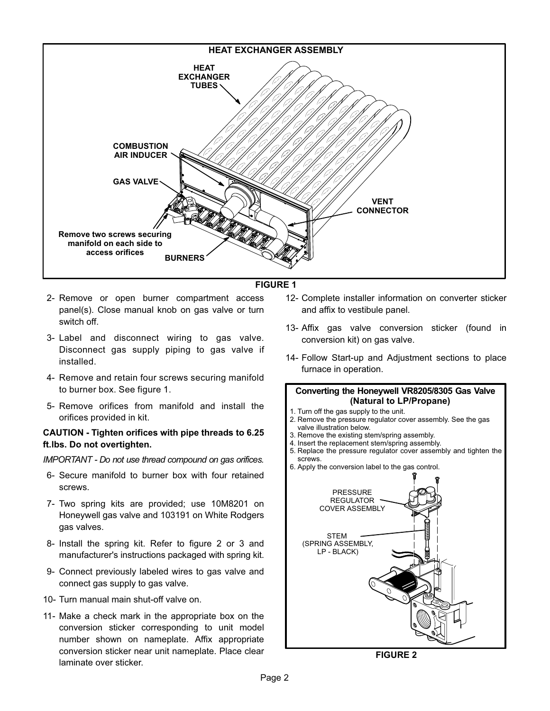

#### **FIGURE 1**

- 2- Remove or open burner compartment access panel(s). Close manual knob on gas valve or turn switch off.
- 3- Label and disconnect wiring to gas valve. Disconnect gas supply piping to gas valve if installed.
- 4- Remove and retain four screws securing manifold to burner box. See figure 1.
- 5- Remove orifices from manifold and install the orifices provided in kit.

#### **CAUTION - Tighten orifices with pipe threads to 6.25 ft.lbs. Do not overtighten.**

*IMPORTANT - Do not use thread compound on gas orifices.*

- 6- Secure manifold to burner box with four retained screws.
- 7- Two spring kits are provided; use 10M8201 on Honeywell gas valve and 103191 on White Rodgers gas valves.
- 8- Install the spring kit. Refer to figure 2 or [3](#page-2-0) and manufacturer's instructions packaged with spring kit.
- 9- Connect previously labeled wires to gas valve and connect gas supply to gas valve.
- 10- Turn manual main shut-off valve on.
- 11- Make a check mark in the appropriate box on the conversion sticker corresponding to unit model number shown on nameplate. Affix appropriate conversion sticker near unit nameplate. Place clear laminate over sticker.
- 12- Complete installer information on converter sticker and affix to vestibule panel.
- 13- Affix gas valve conversion sticker (found in conversion kit) on gas valve.
- 14- Follow Start-up and Adjustment sections to place furnace in operation.

#### **Converting the Honeywell VR8205/8305 Gas Valve (Natural to LP/Propane)**

- 1. Turn off the gas supply to the unit.
- 2. Remove the pressure regulator cover assembly. See the gas valve illustration below.
- 3. Remove the existing stem/spring assembly.
- 4. Insert the replacement stem/spring assembly.
- 5. Replace the pressure regulator cover assembly and tighten the screws.
- 6. Apply the conversion label to the gas control.



**FIGURE 2**